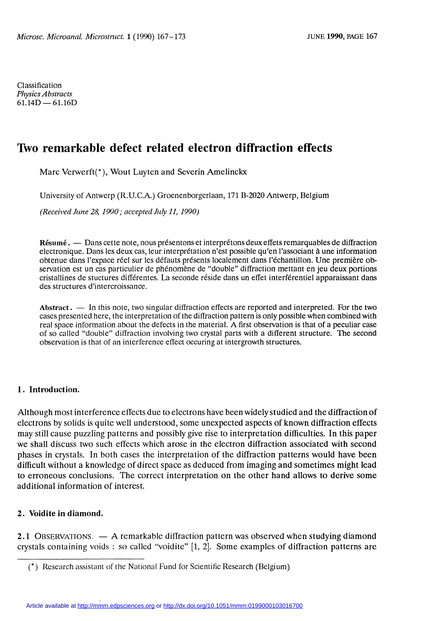Classification Physics Abstracts  $61.14D - 61.16D$ 

# Two remarkable defect related electron diffraction effects

Marc Verwerft(\*), Wout Luyten and Severin Amelinckx

University of Antwerp (R.U.C.A.) Groenenborgerlaan, 171 B-2020 Antwerp, Belgium

(Received June 28, 1990 ; accepted July 11, 1990)

Résumé. — Dans cette note, nous présentons et interprétons deux effets remarquables de diffraction electronique. Dans les deux cas, leur interprétation n'est possible qu'en l'associant à une information obtenue dans 1'expace réel sur les défauts présents localement dans l'échantillon. Une première observation est un cas particulier de phénomène de "double" diffraction mettant en jeu deux portions cristallines de stuctures différentes. La seconde réside dans un effet interférentiel apparaissant dans des structures d'intercroissance.

Abstract.  $\frac{1}{100}$  In this note, two singular diffraction effects are reported and interpreted. For the two cases presented here, the interpretation of the diffraction pattern is only possible when combined with real space information about the defects in the material. A first observation is that of a peculiar case of so called "double" diffraction involving two crystal parts with a different structure. The second observation is that of an interference effect occuring at intergrowth structures.

### 1. Introduction.

Although most in terference eflects due to electrons have been widely studied and the diffraction of electrons by solids is quite well understood, some unexpected aspects of known diffraction effects may still cause puzzling patterns and possibly give rise to interpretation difficulties. In this paper we shall discuss two such effects which arose in the electron diffraction associated with second phases in crystals. In both cases the interpretation of the diffraction patterns would have been difficult without a knowledge of direct space as deduced from imaging and sometimes might lead to erroneous conclusions. The correct interpretation on the other hand allows to derive some additional information of interest.

## 2. Voidite in diamond.

2.1 OBSERVATIONS.  $- A$  remarkable diffraction pattern was observed when studying diamond crystals containing voids : so called "voidite" [1, 2]. Some examples of diffraction patterns are

<sup>(\*)</sup> Research assistant of the National Fund for Scientific Research (Belgium)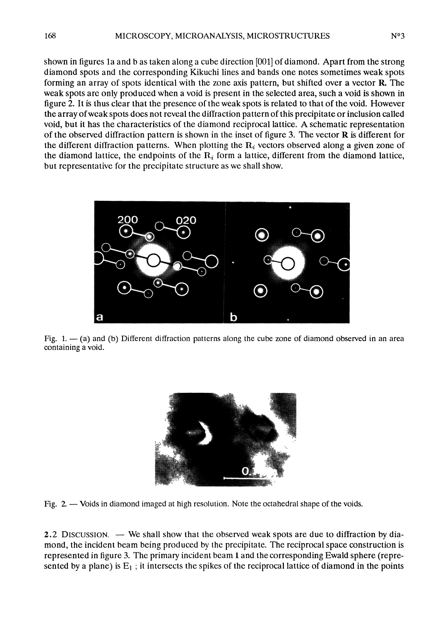shown in figures la and b as taken along a cube direction [001] of diamond. Apart from the strong diamond spots and the corresponding Kikuchi lines and bands one notes sometimes weak spots forming an array of spots identical with the zone axis pattern, but shifted over a vector R. The weak spots are only produced when a void is present in the selected area, such a void is shown in figure 2. It is thus clear that the presence of the weak spots is related to that of the void. However the array of weak spots does not reveal the diffraction pattern of this precipitate or inclusion called void, but it has the characteristics of the diamond reciprocal lattice. A schematic representation of the observed diffraction pattern is shown in the inset of figure 3. The vector  **is different for** the different diffraction patterns. When plotting the  $R_i$  vectors observed along a given zone of the diamond lattice, the endpoints of the  $R_i$  form a lattice, different from the diamond lattice, but representative for the precipitate structure as we shall show.



Fig.  $1. - (a)$  and (b) Different diffraction patterns along the cube zone of diamond observed in an area containing a void.



Fig. 2. - Voids in diamond imaged at high resolution. Note the octahedral shape of the voids.

2.2 DISCUSSION.  $-$  We shall show that the observed weak spots are due to diffraction by diamond, the incident beam being produced by the precipitate. The reciprocal space construction is represented in figure 3. The primary incident beam 1 and the corresponding Ewald sphere (represented by a plane) is  $E_1$ ; it intersects the spikes of the reciprocal lattice of diamond in the points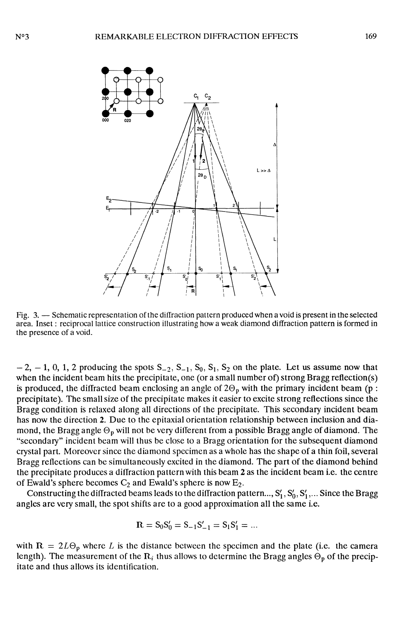

Fig. 3. - Schematic representation of the diffraction pattern produced when a void is present in the selected area. Inset : reciprocal lattice construction illustrating how a weak diamond diffraction pattern is formed in the presence of a void.

 $-2$ ,  $-1$ , 0, 1, 2 producing the spots  $S_{-2}$ ,  $S_{-1}$ ,  $S_0$ ,  $S_1$ ,  $S_2$  on the plate. Let us assume now that when the incident beam hits the precipitate, one (or a small number of) strong Bragg reflection(s) is produced, the diffracted beam enclosing an angle of  $2\Theta_p$  with the primary incident beam (p : precipitate). The small size of the precipitate makes it easier to excite strong reflections since the Bragg condition is relaxed along all directions of the precipitate. This secondary incident beam has now the direction 2. Due to the epitaxial orientation relationship between inclusion and diamond, the Bragg angle  $\Theta_p$  will not be very different from a possible Bragg angle of diamond. The "secondary" incident beam will thus be close to a Bragg orientation for the subsequent diamond crystal part. Moreover since the diamond specimen as a whole has the shape of a thin foil, several Bragg reflections can be simultaneously excited in the diamond. The part of the diamond behind the precipitate produces a diffraction pattern with this beam 2 as the incident beam i.e. the centre of Ewald's sphere becomes  $C_2$  and Ewald's sphere is now  $E_2$ .

Constructing the diffracted beams leads to the diffraction pattern...,  $S'_1$ ,  $S'_0$ ,  $S'_1$ ,... Since the Bragg angles are very small, the spot shifts are to a good approximation all the same i.e.

$$
R = S_0 S'_0 = S_{-1} S'_{-1} = S_1 S'_1 = \dots
$$

with  $R = 2L\Theta_p$  where L is the distance between the specimen and the plate (i.e. the camera length). The measurement of the  $R_i$  thus allows to determine the Bragg angles  $\Theta_p$  of the precipitate and thus allows its identification.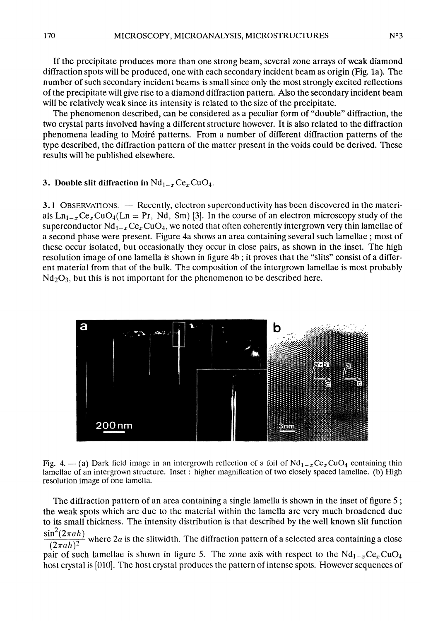If the precipitate produces more than one strong beam, several zone arrays of weak diamond diffraction spots will be produced, one with each secondary incident beam as origin (Fig. la). The number of such secondary incident beams is small since only the most strongly excited reflections of the precipitate will give rise to a diamond diffraction pattern. Also the secondary incident beam will be relatively weak since its intensity is related to the size of the precipitate.

The phenomenon described, can be considered as a peculiar form of "double" diffraction, the two crystal parts involved having a différent structure however. It is also related to the diffraction phenomena leading to Moiré patterns. From a number of différent diffraction patterns of the type described, the diffraction pattern of the matter present in the voids could be derived. These results will be published elsewhere.

### 3. Double slit diffraction in  $Nd_{1-x}Ce_xCuO_4$ .

3.1 OBSERVATIONS. — Recently, electron superconductivity has been discovered in the materials  $Ln_{1-x}Ce_xCuO_4(Ln = Pr, Nd, Sm)$  [3]. In the course of an electron microscopy study of the superconductor  $Nd_{1-x}Ce_xCuO_4$ , we noted that often coherently intergrown very thin lamellae of a second phase were present. Figure 4a shows an area containing several such lamellae ; most of these occur isolated, but occasionally they occur in close pairs, as shown in the inset. The high resolution image of one lamella is shown in figure 4b; it proves that the "slits" consist of a different material from that of the bulk. The composition of the intergrown lamellae is most probably  $Nd<sub>2</sub>O<sub>3</sub>$ , but this is not important for the phenomenon to be described here.



Fig. 4. - (a) Dark field image in an intergrowth reflection of a foil of  $Nd_{1-x}Ce_xCuO_4$  containing thin lamellae of an intergrown structure. Inset : higher magnification of two closely spaced lamellae. (b) High resolution image of one lamella.

The diffraction pattern of an area containing a single lamella is shown in the inset of figure 5 ; the weak spots which are due to the material within the lamella are very much broadened due to its small thickness. The intensity distribution is that described by the well known slit function  $\sin^2(2\pi ah)$ 

 $\frac{\sin (2 \pi a h)}{(2 \pi a h)^2}$  where 2*a* is the slitwidth. The diffraction pattern of a selected area containing a close

pair of such lamellae is shown in figure 5. The zone axis with respect to the  $Nd_{1-x}Ce_xCuO_4$ host crystal is [010]. The host crystal produces the pattern of intense spots. However sequences of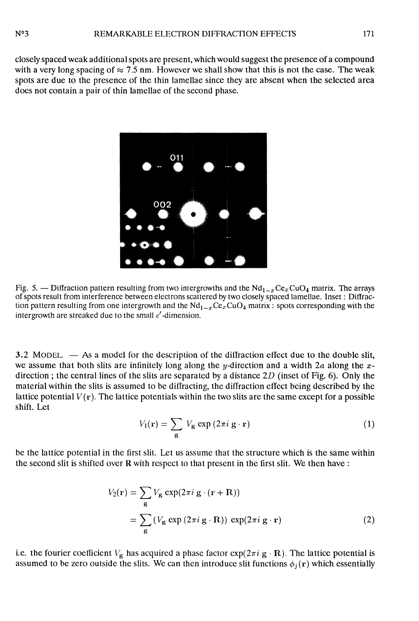closely spaced weak additional spots are present, which would suggest the presence of a compound with a very long spacing of  $\approx 7.5$  nm. However we shall show that this is not the case. The weak spots are due to the presence of the thin lamellae since they are absent when the selected area does not contain a pair of thin lamellae of the second phase.



Fig. 5. - Diffraction pattern resulting from two intergrowths and the  $Nd_{1-x}Ce_xCuQ_4$  matrix. The arrays of spots result from interference between electrons scattered by two closely spaced lamellae. Inset : Diffraction pattern resulting from one intergrowth and the  $Nd_{1-x}Ce_xCuO_4$  matrix : spots corresponding with the intergrowth are streaked due to the small  $c'$ -dimension.

 $3.2 \text{ MODEL}$   $-$  As a model for the description of the diffraction effect due to the double slit, we assume that both slits are infinitely long along the y-direction and a width  $2a$  along the xdirection; the central lines of the slits are separated by a distance  $2D$  (inset of Fig. 6). Only the material within the slits is assumed to be diffracting, the diffraction effect being described by the lattice potential  $V(\mathbf{r})$ . The lattice potentials within the two slits are the same except for a possible shift. Let

$$
V_1(\mathbf{r}) = \sum_{\mathbf{g}} V_{\mathbf{g}} \exp(2\pi i \mathbf{g} \cdot \mathbf{r})
$$
 (1)

be the lattice potential in the first slit. Let us assume that the structure which is the same within the second slit is shifted over R with respect to that present in the first slit. We then have :

$$
V_2(\mathbf{r}) = \sum_{\mathbf{g}} V_{\mathbf{g}} \exp(2\pi i \mathbf{g} \cdot (\mathbf{r} + \mathbf{R}))
$$
  
= 
$$
\sum_{\mathbf{g}} (V_{\mathbf{g}} \exp(2\pi i \mathbf{g} \cdot \mathbf{R})) \exp(2\pi i \mathbf{g} \cdot \mathbf{r})
$$
 (2)

i.e. the fourier coefficient  $V_g$  has acquired a phase factor  $exp(2\pi i g \cdot R)$ . The lattice potential is assumed to be zero outside the slits. We can then introduce slit functions  $\phi_i(\mathbf{r})$  which essentially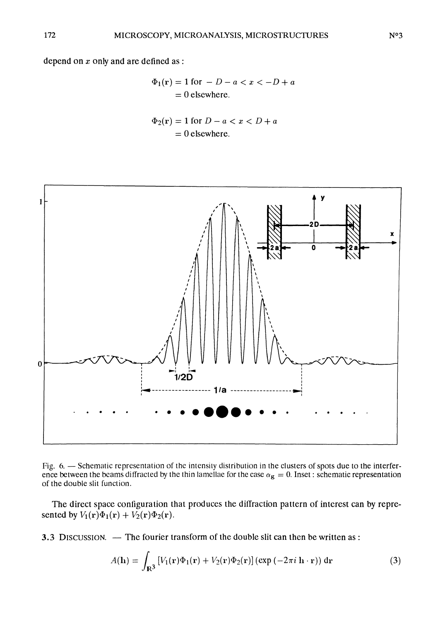depend on  $x$  only and are defined as :

$$
\Phi_1(\mathbf{r}) = 1 \text{ for } -D - a < x < -D + a
$$
\n
$$
= 0 \text{ elsewhere.}
$$

$$
\Phi_2(\mathbf{r}) = 1 \text{ for } D - a < x < D + a
$$
\n
$$
= 0 \text{ elsewhere.}
$$



Fig. 6. - Schematic representation of the intensity distribution in the clusters of spots due to the interference between the beams diffracted by the thin lamellae for the case  $\alpha_{\rm g} = 0$ . Inset : schematic representation of the double slit function.

The direct space configuration that produces the diffraction pattern of interest can by represented by  $V_1(\mathbf{r})\Phi_1(\mathbf{r}) + V_2(\mathbf{r})\Phi_2(\mathbf{r}).$ 

3.3 DISCUSSION. — The fourier transform of the double slit can then be written as :

$$
A(\mathbf{h}) = \int_{\mathbf{R}^3} \left[ V_1(\mathbf{r}) \Phi_1(\mathbf{r}) + V_2(\mathbf{r}) \Phi_2(\mathbf{r}) \right] (\exp(-2\pi i \mathbf{h} \cdot \mathbf{r})) \, \mathrm{d}\mathbf{r} \tag{3}
$$